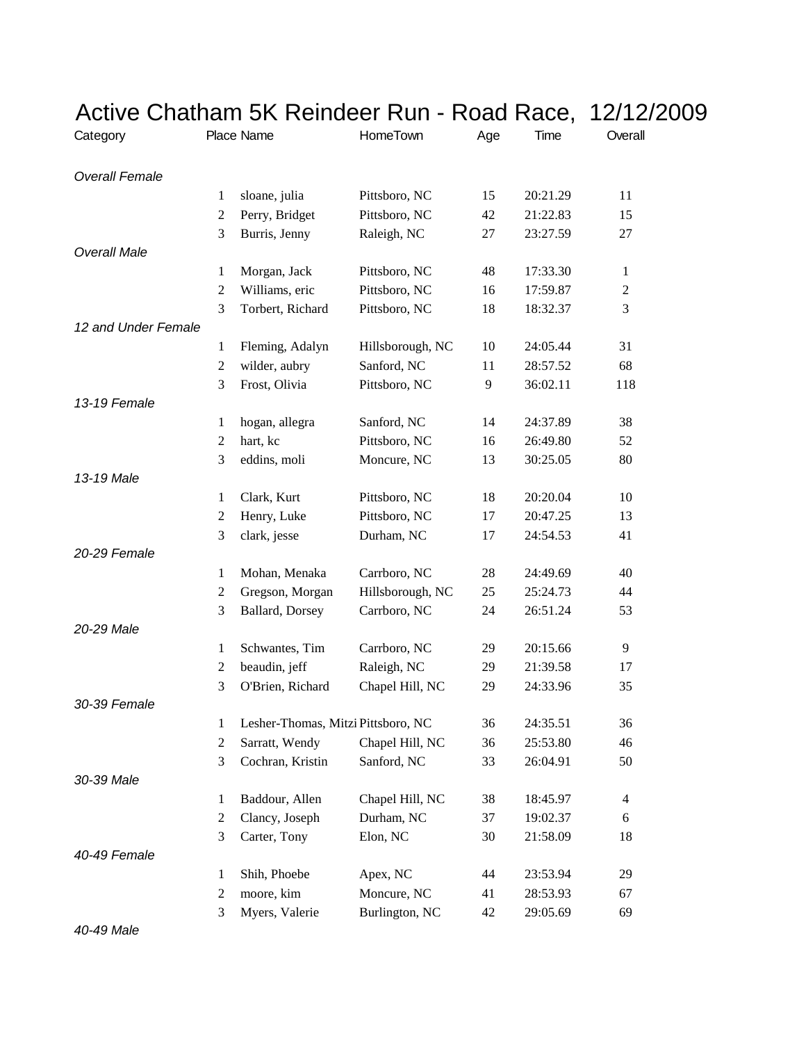| Active Chatham 5K Reindeer Run - Road Race, | 12/12/2009     |                                    |                  |     |          |                |
|---------------------------------------------|----------------|------------------------------------|------------------|-----|----------|----------------|
| Category                                    |                | Place Name                         | HomeTown         | Age | Time     | Overall        |
| <b>Overall Female</b>                       |                |                                    |                  |     |          |                |
|                                             | 1              | sloane, julia                      | Pittsboro, NC    | 15  | 20:21.29 | 11             |
|                                             | 2              | Perry, Bridget                     | Pittsboro, NC    | 42  | 21:22.83 | 15             |
|                                             | 3              | Burris, Jenny                      | Raleigh, NC      | 27  | 23:27.59 | 27             |
| <b>Overall Male</b>                         |                |                                    |                  |     |          |                |
|                                             | 1              | Morgan, Jack                       | Pittsboro, NC    | 48  | 17:33.30 | 1              |
|                                             | $\overline{c}$ | Williams, eric                     | Pittsboro, NC    | 16  | 17:59.87 | 2              |
|                                             | 3              | Torbert, Richard                   | Pittsboro, NC    | 18  | 18:32.37 | 3              |
| 12 and Under Female                         |                |                                    |                  |     |          |                |
|                                             | 1              | Fleming, Adalyn                    | Hillsborough, NC | 10  | 24:05.44 | 31             |
|                                             | 2              | wilder, aubry                      | Sanford, NC      | 11  | 28:57.52 | 68             |
|                                             | 3              | Frost, Olivia                      | Pittsboro, NC    | 9   | 36:02.11 | 118            |
| 13-19 Female                                |                |                                    |                  |     |          |                |
|                                             | 1              | hogan, allegra                     | Sanford, NC      | 14  | 24:37.89 | 38             |
|                                             | 2              | hart, kc                           | Pittsboro, NC    | 16  | 26:49.80 | 52             |
|                                             | 3              | eddins, moli                       | Moncure, NC      | 13  | 30:25.05 | 80             |
| 13-19 Male                                  |                |                                    |                  |     |          |                |
|                                             | 1              | Clark, Kurt                        | Pittsboro, NC    | 18  | 20:20.04 | 10             |
|                                             | 2              | Henry, Luke                        | Pittsboro, NC    | 17  | 20:47.25 | 13             |
|                                             | 3              | clark, jesse                       | Durham, NC       | 17  | 24:54.53 | 41             |
| 20-29 Female                                |                |                                    |                  |     |          |                |
|                                             | 1              | Mohan, Menaka                      | Carrboro, NC     | 28  | 24:49.69 | 40             |
|                                             | 2              | Gregson, Morgan                    | Hillsborough, NC | 25  | 25:24.73 | 44             |
|                                             | 3              | Ballard, Dorsey                    | Carrboro, NC     | 24  | 26:51.24 | 53             |
| 20-29 Male                                  |                |                                    |                  |     |          |                |
|                                             | 1              | Schwantes, Tim                     | Carrboro, NC     | 29  | 20:15.66 | 9              |
|                                             | $\overline{c}$ | beaudin, jeff                      | Raleigh, NC      | 29  | 21:39.58 | 17             |
|                                             | 3              | O'Brien, Richard                   | Chapel Hill, NC  | 29  | 24:33.96 | 35             |
| 30-39 Female                                |                |                                    |                  |     |          |                |
|                                             | 1              | Lesher-Thomas, Mitzi Pittsboro, NC |                  | 36  | 24:35.51 | 36             |
|                                             | 2              | Sarratt, Wendy                     | Chapel Hill, NC  | 36  | 25:53.80 | 46             |
|                                             | 3              | Cochran, Kristin                   | Sanford, NC      | 33  | 26:04.91 | 50             |
| 30-39 Male                                  |                |                                    |                  |     |          |                |
|                                             | 1              | Baddour, Allen                     | Chapel Hill, NC  | 38  | 18:45.97 | $\overline{4}$ |
|                                             | 2              | Clancy, Joseph                     | Durham, NC       | 37  | 19:02.37 | 6              |
|                                             | 3              | Carter, Tony                       | Elon, NC         | 30  | 21:58.09 | 18             |
| 40-49 Female                                |                |                                    |                  |     |          |                |
|                                             | 1              | Shih, Phoebe                       | Apex, NC         | 44  | 23:53.94 | 29             |
|                                             | 2              | moore, kim                         | Moncure, NC      | 41  | 28:53.93 | 67             |
|                                             | 3              | Myers, Valerie                     | Burlington, NC   | 42  | 29:05.69 | 69             |

*40-49 Male*